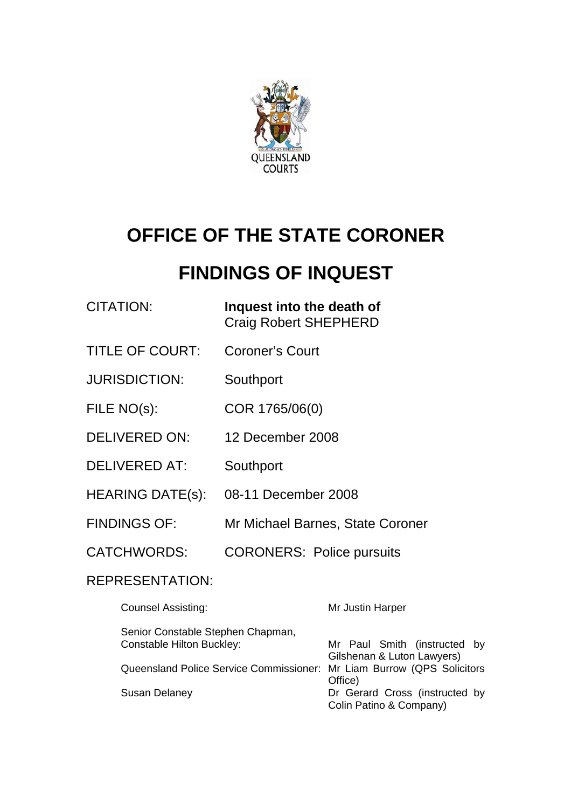

# **OFFICE OF THE STATE CORONER**

# **FINDINGS OF INQUEST**

| CITATION: | Inquest into the death of    |
|-----------|------------------------------|
|           | <b>Craig Robert SHEPHERD</b> |

- TITLE OF COURT: Coroner's Court
- JURISDICTION: Southport
- FILE NO(s): COR 1765/06(0)
- DELIVERED ON: 12 December 2008
- DELIVERED AT: Southport
- HEARING DATE(s): 08-11 December 2008
- FINDINGS OF: Mr Michael Barnes, State Coroner
- CATCHWORDS: CORONERS: Police pursuits

# REPRESENTATION:

| <b>Counsel Assisting:</b>                                              | Mr Justin Harper               |
|------------------------------------------------------------------------|--------------------------------|
| Senior Constable Stephen Chapman,                                      |                                |
| <b>Constable Hilton Buckley:</b>                                       | Mr Paul Smith (instructed by   |
|                                                                        | Gilshenan & Luton Lawyers)     |
| Queensland Police Service Commissioner: Mr Liam Burrow (QPS Solicitors |                                |
|                                                                        | Office)                        |
| <b>Susan Delaney</b>                                                   | Dr Gerard Cross (instructed by |
|                                                                        | Colin Patino & Company)        |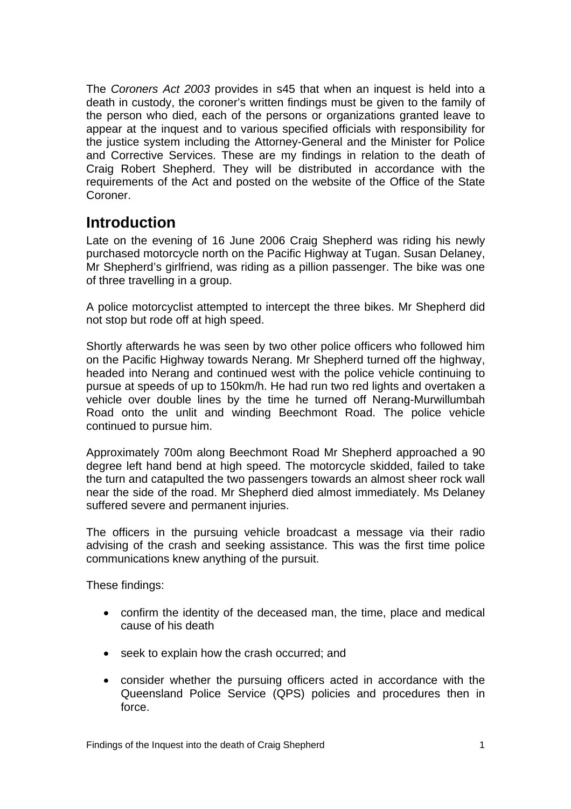<span id="page-2-0"></span>The *Coroners Act 2003* provides in s45 that when an inquest is held into a death in custody, the coroner's written findings must be given to the family of the person who died, each of the persons or organizations granted leave to appear at the inquest and to various specified officials with responsibility for the justice system including the Attorney-General and the Minister for Police and Corrective Services. These are my findings in relation to the death of Craig Robert Shepherd. They will be distributed in accordance with the requirements of the Act and posted on the website of the Office of the State Coroner.

# **Introduction**

Late on the evening of 16 June 2006 Craig Shepherd was riding his newly purchased motorcycle north on the Pacific Highway at Tugan. Susan Delaney, Mr Shepherd's girlfriend, was riding as a pillion passenger. The bike was one of three travelling in a group.

A police motorcyclist attempted to intercept the three bikes. Mr Shepherd did not stop but rode off at high speed.

Shortly afterwards he was seen by two other police officers who followed him on the Pacific Highway towards Nerang. Mr Shepherd turned off the highway, headed into Nerang and continued west with the police vehicle continuing to pursue at speeds of up to 150km/h. He had run two red lights and overtaken a vehicle over double lines by the time he turned off Nerang-Murwillumbah Road onto the unlit and winding Beechmont Road. The police vehicle continued to pursue him.

Approximately 700m along Beechmont Road Mr Shepherd approached a 90 degree left hand bend at high speed. The motorcycle skidded, failed to take the turn and catapulted the two passengers towards an almost sheer rock wall near the side of the road. Mr Shepherd died almost immediately. Ms Delaney suffered severe and permanent injuries.

The officers in the pursuing vehicle broadcast a message via their radio advising of the crash and seeking assistance. This was the first time police communications knew anything of the pursuit.

These findings:

- confirm the identity of the deceased man, the time, place and medical cause of his death
- seek to explain how the crash occurred; and
- consider whether the pursuing officers acted in accordance with the Queensland Police Service (QPS) policies and procedures then in force.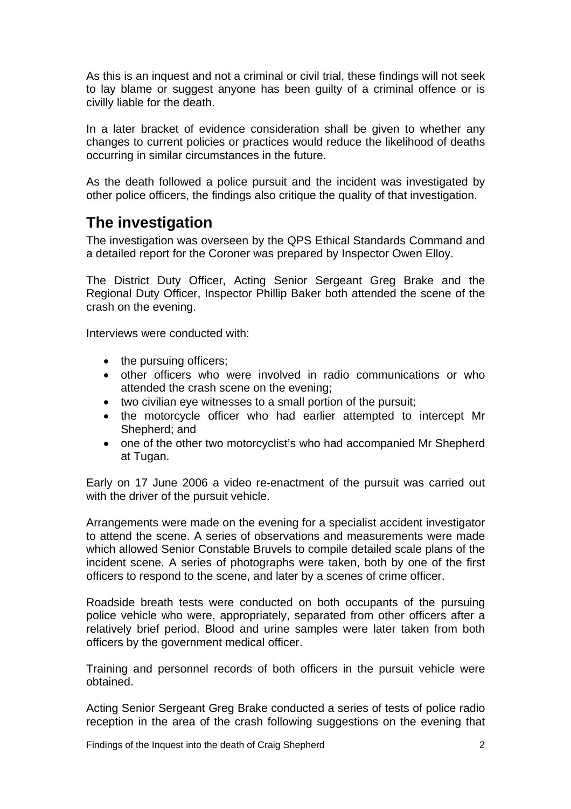<span id="page-3-0"></span>As this is an inquest and not a criminal or civil trial, these findings will not seek to lay blame or suggest anyone has been guilty of a criminal offence or is civilly liable for the death.

In a later bracket of evidence consideration shall be given to whether any changes to current policies or practices would reduce the likelihood of deaths occurring in similar circumstances in the future.

As the death followed a police pursuit and the incident was investigated by other police officers, the findings also critique the quality of that investigation.

# **The investigation**

The investigation was overseen by the QPS Ethical Standards Command and a detailed report for the Coroner was prepared by Inspector Owen Elloy.

The District Duty Officer, Acting Senior Sergeant Greg Brake and the Regional Duty Officer, Inspector Phillip Baker both attended the scene of the crash on the evening.

Interviews were conducted with:

- the pursuing officers;
- other officers who were involved in radio communications or who attended the crash scene on the evening;
- two civilian eye witnesses to a small portion of the pursuit;
- the motorcycle officer who had earlier attempted to intercept Mr Shepherd; and
- one of the other two motorcyclist's who had accompanied Mr Shepherd at Tugan.

Early on 17 June 2006 a video re-enactment of the pursuit was carried out with the driver of the pursuit vehicle.

Arrangements were made on the evening for a specialist accident investigator to attend the scene. A series of observations and measurements were made which allowed Senior Constable Bruvels to compile detailed scale plans of the incident scene. A series of photographs were taken, both by one of the first officers to respond to the scene, and later by a scenes of crime officer.

Roadside breath tests were conducted on both occupants of the pursuing police vehicle who were, appropriately, separated from other officers after a relatively brief period. Blood and urine samples were later taken from both officers by the government medical officer.

Training and personnel records of both officers in the pursuit vehicle were obtained.

Acting Senior Sergeant Greg Brake conducted a series of tests of police radio reception in the area of the crash following suggestions on the evening that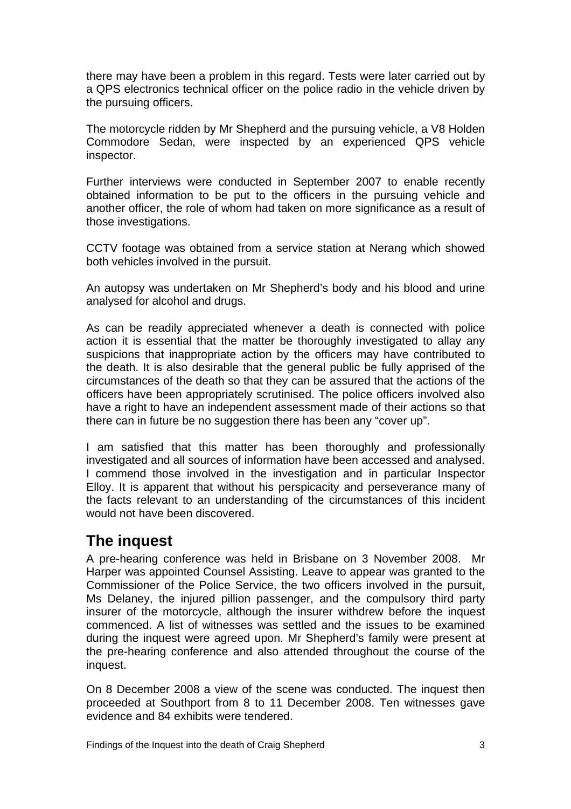<span id="page-4-0"></span>there may have been a problem in this regard. Tests were later carried out by a QPS electronics technical officer on the police radio in the vehicle driven by the pursuing officers.

The motorcycle ridden by Mr Shepherd and the pursuing vehicle, a V8 Holden Commodore Sedan, were inspected by an experienced QPS vehicle inspector.

Further interviews were conducted in September 2007 to enable recently obtained information to be put to the officers in the pursuing vehicle and another officer, the role of whom had taken on more significance as a result of those investigations.

CCTV footage was obtained from a service station at Nerang which showed both vehicles involved in the pursuit.

An autopsy was undertaken on Mr Shepherd's body and his blood and urine analysed for alcohol and drugs.

As can be readily appreciated whenever a death is connected with police action it is essential that the matter be thoroughly investigated to allay any suspicions that inappropriate action by the officers may have contributed to the death. It is also desirable that the general public be fully apprised of the circumstances of the death so that they can be assured that the actions of the officers have been appropriately scrutinised. The police officers involved also have a right to have an independent assessment made of their actions so that there can in future be no suggestion there has been any "cover up".

I am satisfied that this matter has been thoroughly and professionally investigated and all sources of information have been accessed and analysed. I commend those involved in the investigation and in particular Inspector Elloy. It is apparent that without his perspicacity and perseverance many of the facts relevant to an understanding of the circumstances of this incident would not have been discovered.

# **The inquest**

A pre-hearing conference was held in Brisbane on 3 November 2008. Mr Harper was appointed Counsel Assisting. Leave to appear was granted to the Commissioner of the Police Service, the two officers involved in the pursuit, Ms Delaney, the injured pillion passenger, and the compulsory third party insurer of the motorcycle, although the insurer withdrew before the inquest commenced. A list of witnesses was settled and the issues to be examined during the inquest were agreed upon. Mr Shepherd's family were present at the pre-hearing conference and also attended throughout the course of the inquest.

On 8 December 2008 a view of the scene was conducted. The inquest then proceeded at Southport from 8 to 11 December 2008. Ten witnesses gave evidence and 84 exhibits were tendered.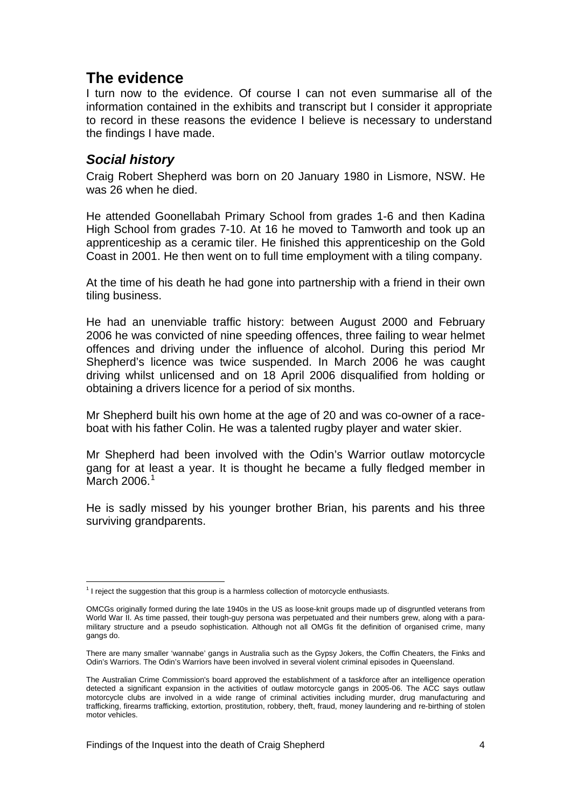# <span id="page-5-0"></span>**The evidence**

I turn now to the evidence. Of course I can not even summarise all of the information contained in the exhibits and transcript but I consider it appropriate to record in these reasons the evidence I believe is necessary to understand the findings I have made.

# *Social history*

Craig Robert Shepherd was born on 20 January 1980 in Lismore, NSW. He was 26 when he died.

He attended Goonellabah Primary School from grades 1-6 and then Kadina High School from grades 7-10. At 16 he moved to Tamworth and took up an apprenticeship as a ceramic tiler. He finished this apprenticeship on the Gold Coast in 2001. He then went on to full time employment with a tiling company.

At the time of his death he had gone into partnership with a friend in their own tiling business.

He had an unenviable traffic history: between August 2000 and February 2006 he was convicted of nine speeding offences, three failing to wear helmet offences and driving under the influence of alcohol. During this period Mr Shepherd's licence was twice suspended. In March 2006 he was caught driving whilst unlicensed and on 18 April 2006 disqualified from holding or obtaining a drivers licence for a period of six months.

Mr Shepherd built his own home at the age of 20 and was co-owner of a raceboat with his father Colin. He was a talented rugby player and water skier.

Mr Shepherd had been involved with the Odin's Warrior outlaw motorcycle gang for at least a year. It is thought he became a fully fledged member in March  $2006.<sup>1</sup>$  $2006.<sup>1</sup>$  $2006.<sup>1</sup>$ 

He is sadly missed by his younger brother Brian, his parents and his three surviving grandparents.

l  $<sup>1</sup>$  I reject the suggestion that this group is a harmless collection of motorcycle enthusiasts.</sup>

<span id="page-5-1"></span>OMCGs originally formed during the late 1940s in the US as loose-knit groups made up of disgruntled veterans from World War II. As time passed, their tough-guy persona was perpetuated and their numbers grew, along with a paramilitary structure and a pseudo sophistication. Although not all OMGs fit the definition of organised crime, many gangs do.

There are many smaller 'wannabe' gangs in Australia such as the Gypsy Jokers, the Coffin Cheaters, the Finks and Odin's Warriors. The Odin's Warriors have been involved in several violent criminal episodes in Queensland.

The Australian Crime Commission's board approved the establishment of a taskforce after an intelligence operation detected a significant expansion in the activities of outlaw motorcycle gangs in 2005-06. The ACC says outlaw motorcycle clubs are involved in a wide range of criminal activities including murder, drug manufacturing and trafficking, firearms trafficking, extortion, prostitution, robbery, theft, fraud, money laundering and re-birthing of stolen motor vehicles.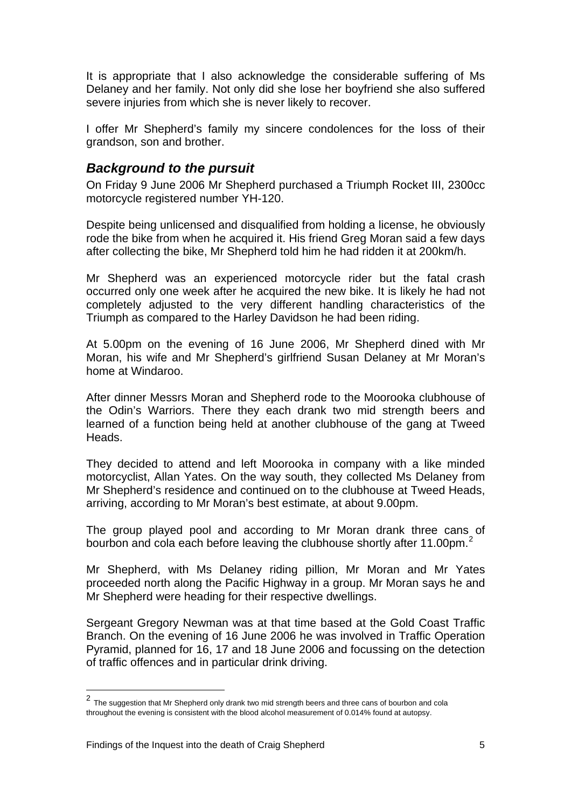<span id="page-6-0"></span>It is appropriate that I also acknowledge the considerable suffering of Ms Delaney and her family. Not only did she lose her boyfriend she also suffered severe injuries from which she is never likely to recover.

I offer Mr Shepherd's family my sincere condolences for the loss of their grandson, son and brother.

# *Background to the pursuit*

On Friday 9 June 2006 Mr Shepherd purchased a Triumph Rocket III, 2300cc motorcycle registered number YH-120.

Despite being unlicensed and disqualified from holding a license, he obviously rode the bike from when he acquired it. His friend Greg Moran said a few days after collecting the bike, Mr Shepherd told him he had ridden it at 200km/h.

Mr Shepherd was an experienced motorcycle rider but the fatal crash occurred only one week after he acquired the new bike. It is likely he had not completely adjusted to the very different handling characteristics of the Triumph as compared to the Harley Davidson he had been riding.

At 5.00pm on the evening of 16 June 2006, Mr Shepherd dined with Mr Moran, his wife and Mr Shepherd's girlfriend Susan Delaney at Mr Moran's home at Windaroo.

After dinner Messrs Moran and Shepherd rode to the Moorooka clubhouse of the Odin's Warriors. There they each drank two mid strength beers and learned of a function being held at another clubhouse of the gang at Tweed Heads.

They decided to attend and left Moorooka in company with a like minded motorcyclist, Allan Yates. On the way south, they collected Ms Delaney from Mr Shepherd's residence and continued on to the clubhouse at Tweed Heads, arriving, according to Mr Moran's best estimate, at about 9.00pm.

The group played pool and according to Mr Moran drank three cans of bourbon and cola each before leaving the clubhouse shortly after 11.00pm. $^2$  $^2$ 

Mr Shepherd, with Ms Delaney riding pillion, Mr Moran and Mr Yates proceeded north along the Pacific Highway in a group. Mr Moran says he and Mr Shepherd were heading for their respective dwellings.

Sergeant Gregory Newman was at that time based at the Gold Coast Traffic Branch. On the evening of 16 June 2006 he was involved in Traffic Operation Pyramid, planned for 16, 17 and 18 June 2006 and focussing on the detection of traffic offences and in particular drink driving.

l

<span id="page-6-1"></span><sup>2</sup> The suggestion that Mr Shepherd only drank two mid strength beers and three cans of bourbon and cola throughout the evening is consistent with the blood alcohol measurement of 0.014% found at autopsy.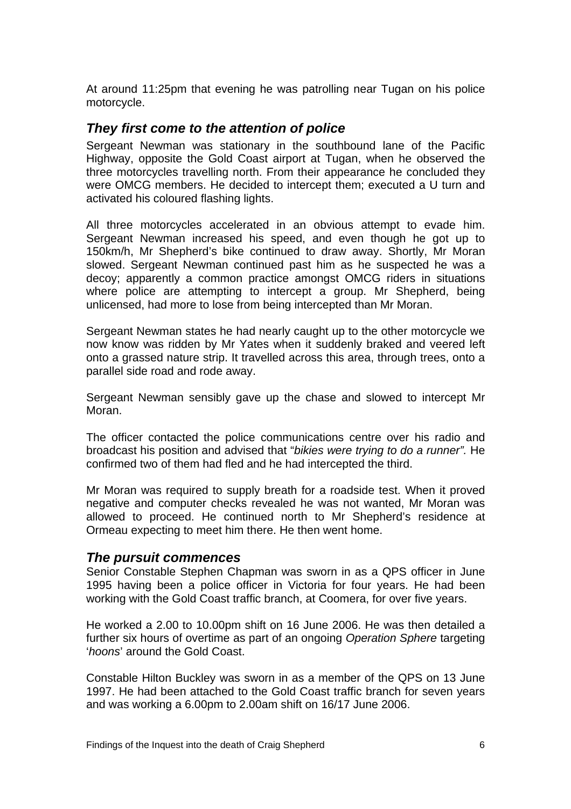<span id="page-7-0"></span>At around 11:25pm that evening he was patrolling near Tugan on his police motorcycle.

## *They first come to the attention of police*

Sergeant Newman was stationary in the southbound lane of the Pacific Highway, opposite the Gold Coast airport at Tugan, when he observed the three motorcycles travelling north. From their appearance he concluded they were OMCG members. He decided to intercept them; executed a U turn and activated his coloured flashing lights.

All three motorcycles accelerated in an obvious attempt to evade him. Sergeant Newman increased his speed, and even though he got up to 150km/h, Mr Shepherd's bike continued to draw away. Shortly, Mr Moran slowed. Sergeant Newman continued past him as he suspected he was a decoy; apparently a common practice amongst OMCG riders in situations where police are attempting to intercept a group. Mr Shepherd, being unlicensed, had more to lose from being intercepted than Mr Moran.

Sergeant Newman states he had nearly caught up to the other motorcycle we now know was ridden by Mr Yates when it suddenly braked and veered left onto a grassed nature strip. It travelled across this area, through trees, onto a parallel side road and rode away.

Sergeant Newman sensibly gave up the chase and slowed to intercept Mr Moran.

The officer contacted the police communications centre over his radio and broadcast his position and advised that "*bikies were trying to do a runner".* He confirmed two of them had fled and he had intercepted the third.

Mr Moran was required to supply breath for a roadside test. When it proved negative and computer checks revealed he was not wanted, Mr Moran was allowed to proceed. He continued north to Mr Shepherd's residence at Ormeau expecting to meet him there. He then went home.

### *The pursuit commences*

Senior Constable Stephen Chapman was sworn in as a QPS officer in June 1995 having been a police officer in Victoria for four years. He had been working with the Gold Coast traffic branch, at Coomera, for over five years.

He worked a 2.00 to 10.00pm shift on 16 June 2006. He was then detailed a further six hours of overtime as part of an ongoing *Operation Sphere* targeting '*hoons*' around the Gold Coast.

Constable Hilton Buckley was sworn in as a member of the QPS on 13 June 1997. He had been attached to the Gold Coast traffic branch for seven years and was working a 6.00pm to 2.00am shift on 16/17 June 2006.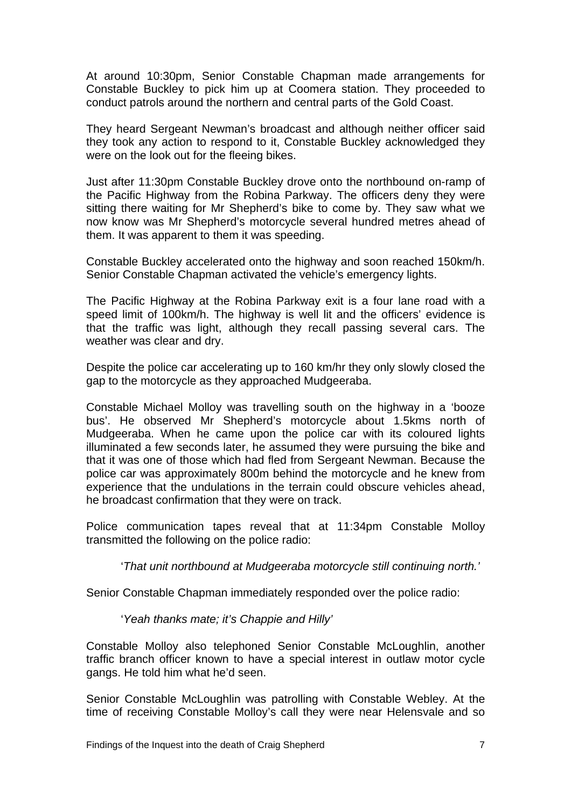At around 10:30pm, Senior Constable Chapman made arrangements for Constable Buckley to pick him up at Coomera station. They proceeded to conduct patrols around the northern and central parts of the Gold Coast.

They heard Sergeant Newman's broadcast and although neither officer said they took any action to respond to it, Constable Buckley acknowledged they were on the look out for the fleeing bikes.

Just after 11:30pm Constable Buckley drove onto the northbound on-ramp of the Pacific Highway from the Robina Parkway. The officers deny they were sitting there waiting for Mr Shepherd's bike to come by. They saw what we now know was Mr Shepherd's motorcycle several hundred metres ahead of them. It was apparent to them it was speeding.

Constable Buckley accelerated onto the highway and soon reached 150km/h. Senior Constable Chapman activated the vehicle's emergency lights.

The Pacific Highway at the Robina Parkway exit is a four lane road with a speed limit of 100km/h. The highway is well lit and the officers' evidence is that the traffic was light, although they recall passing several cars. The weather was clear and dry.

Despite the police car accelerating up to 160 km/hr they only slowly closed the gap to the motorcycle as they approached Mudgeeraba.

Constable Michael Molloy was travelling south on the highway in a 'booze bus'. He observed Mr Shepherd's motorcycle about 1.5kms north of Mudgeeraba. When he came upon the police car with its coloured lights illuminated a few seconds later, he assumed they were pursuing the bike and that it was one of those which had fled from Sergeant Newman. Because the police car was approximately 800m behind the motorcycle and he knew from experience that the undulations in the terrain could obscure vehicles ahead, he broadcast confirmation that they were on track.

Police communication tapes reveal that at 11:34pm Constable Molloy transmitted the following on the police radio:

'*That unit northbound at Mudgeeraba motorcycle still continuing north.'* 

Senior Constable Chapman immediately responded over the police radio:

'*Yeah thanks mate; it's Chappie and Hilly'* 

Constable Molloy also telephoned Senior Constable McLoughlin, another traffic branch officer known to have a special interest in outlaw motor cycle gangs. He told him what he'd seen.

Senior Constable McLoughlin was patrolling with Constable Webley. At the time of receiving Constable Molloy's call they were near Helensvale and so

Findings of the Inquest into the death of Craig Shepherd 7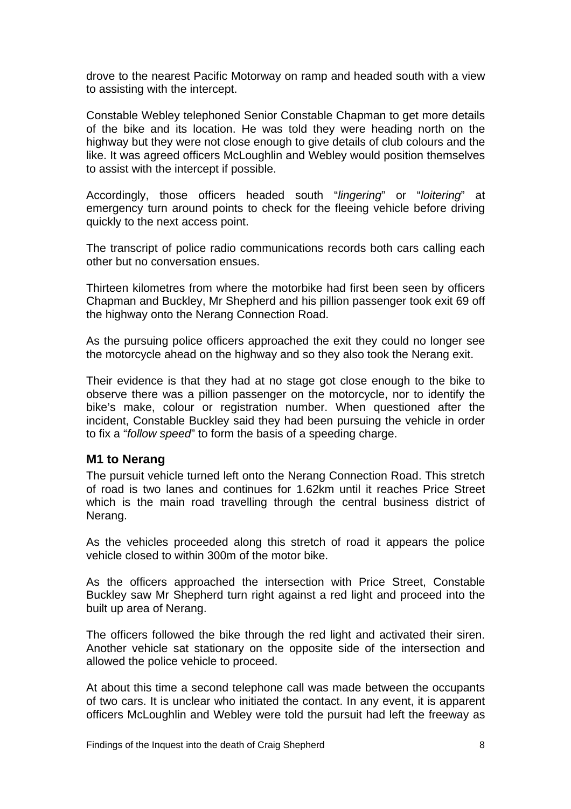<span id="page-9-0"></span>drove to the nearest Pacific Motorway on ramp and headed south with a view to assisting with the intercept.

Constable Webley telephoned Senior Constable Chapman to get more details of the bike and its location. He was told they were heading north on the highway but they were not close enough to give details of club colours and the like. It was agreed officers McLoughlin and Webley would position themselves to assist with the intercept if possible.

Accordingly, those officers headed south "*lingering*" or "*loitering*" at emergency turn around points to check for the fleeing vehicle before driving quickly to the next access point.

The transcript of police radio communications records both cars calling each other but no conversation ensues.

Thirteen kilometres from where the motorbike had first been seen by officers Chapman and Buckley, Mr Shepherd and his pillion passenger took exit 69 off the highway onto the Nerang Connection Road.

As the pursuing police officers approached the exit they could no longer see the motorcycle ahead on the highway and so they also took the Nerang exit.

Their evidence is that they had at no stage got close enough to the bike to observe there was a pillion passenger on the motorcycle, nor to identify the bike's make, colour or registration number. When questioned after the incident, Constable Buckley said they had been pursuing the vehicle in order to fix a "*follow speed*" to form the basis of a speeding charge.

### **M1 to Nerang**

The pursuit vehicle turned left onto the Nerang Connection Road. This stretch of road is two lanes and continues for 1.62km until it reaches Price Street which is the main road travelling through the central business district of Nerang.

As the vehicles proceeded along this stretch of road it appears the police vehicle closed to within 300m of the motor bike.

As the officers approached the intersection with Price Street, Constable Buckley saw Mr Shepherd turn right against a red light and proceed into the built up area of Nerang.

The officers followed the bike through the red light and activated their siren. Another vehicle sat stationary on the opposite side of the intersection and allowed the police vehicle to proceed.

At about this time a second telephone call was made between the occupants of two cars. It is unclear who initiated the contact. In any event, it is apparent officers McLoughlin and Webley were told the pursuit had left the freeway as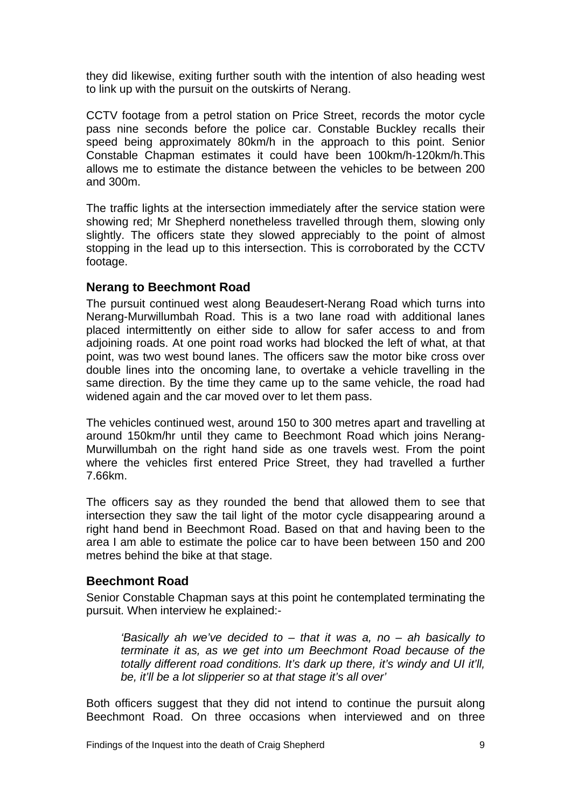<span id="page-10-0"></span>they did likewise, exiting further south with the intention of also heading west to link up with the pursuit on the outskirts of Nerang.

CCTV footage from a petrol station on Price Street, records the motor cycle pass nine seconds before the police car. Constable Buckley recalls their speed being approximately 80km/h in the approach to this point. Senior Constable Chapman estimates it could have been 100km/h-120km/h.This allows me to estimate the distance between the vehicles to be between 200 and 300m.

The traffic lights at the intersection immediately after the service station were showing red; Mr Shepherd nonetheless travelled through them, slowing only slightly. The officers state they slowed appreciably to the point of almost stopping in the lead up to this intersection. This is corroborated by the CCTV footage.

### **Nerang to Beechmont Road**

The pursuit continued west along Beaudesert-Nerang Road which turns into Nerang-Murwillumbah Road. This is a two lane road with additional lanes placed intermittently on either side to allow for safer access to and from adjoining roads. At one point road works had blocked the left of what, at that point, was two west bound lanes. The officers saw the motor bike cross over double lines into the oncoming lane, to overtake a vehicle travelling in the same direction. By the time they came up to the same vehicle, the road had widened again and the car moved over to let them pass.

The vehicles continued west, around 150 to 300 metres apart and travelling at around 150km/hr until they came to Beechmont Road which joins Nerang-Murwillumbah on the right hand side as one travels west. From the point where the vehicles first entered Price Street, they had travelled a further 7.66km.

The officers say as they rounded the bend that allowed them to see that intersection they saw the tail light of the motor cycle disappearing around a right hand bend in Beechmont Road. Based on that and having been to the area I am able to estimate the police car to have been between 150 and 200 metres behind the bike at that stage.

### **Beechmont Road**

Senior Constable Chapman says at this point he contemplated terminating the pursuit. When interview he explained:-

*'Basically ah we've decided to – that it was a, no – ah basically to terminate it as, as we get into um Beechmont Road because of the totally different road conditions. It's dark up there, it's windy and UI it'll, be, it'll be a lot slipperier so at that stage it's all over'* 

Both officers suggest that they did not intend to continue the pursuit along Beechmont Road. On three occasions when interviewed and on three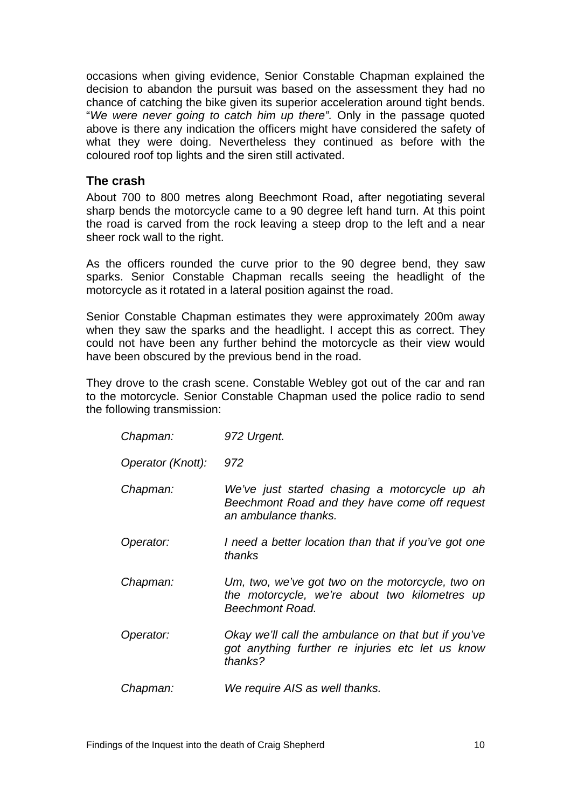<span id="page-11-0"></span>occasions when giving evidence, Senior Constable Chapman explained the decision to abandon the pursuit was based on the assessment they had no chance of catching the bike given its superior acceleration around tight bends. "*We were never going to catch him up there".* Only in the passage quoted above is there any indication the officers might have considered the safety of what they were doing. Nevertheless they continued as before with the coloured roof top lights and the siren still activated.

### **The crash**

About 700 to 800 metres along Beechmont Road, after negotiating several sharp bends the motorcycle came to a 90 degree left hand turn. At this point the road is carved from the rock leaving a steep drop to the left and a near sheer rock wall to the right.

As the officers rounded the curve prior to the 90 degree bend, they saw sparks. Senior Constable Chapman recalls seeing the headlight of the motorcycle as it rotated in a lateral position against the road.

Senior Constable Chapman estimates they were approximately 200m away when they saw the sparks and the headlight. I accept this as correct. They could not have been any further behind the motorcycle as their view would have been obscured by the previous bend in the road.

They drove to the crash scene. Constable Webley got out of the car and ran to the motorcycle. Senior Constable Chapman used the police radio to send the following transmission:

| Chapman:          | 972 Urgent.                                                                                                            |
|-------------------|------------------------------------------------------------------------------------------------------------------------|
| Operator (Knott): | 972                                                                                                                    |
| Chapman:          | We've just started chasing a motorcycle up ah<br>Beechmont Road and they have come off request<br>an ambulance thanks. |
| Operator:         | I need a better location than that if you've got one<br>thanks                                                         |
| Chapman:          | Um, two, we've got two on the motorcycle, two on<br>the motorcycle, we're about two kilometres up<br>Beechmont Road.   |
| Operator:         | Okay we'll call the ambulance on that but if you've<br>got anything further re injuries etc let us know<br>thanks?     |
| Chapman:          | We require AIS as well thanks.                                                                                         |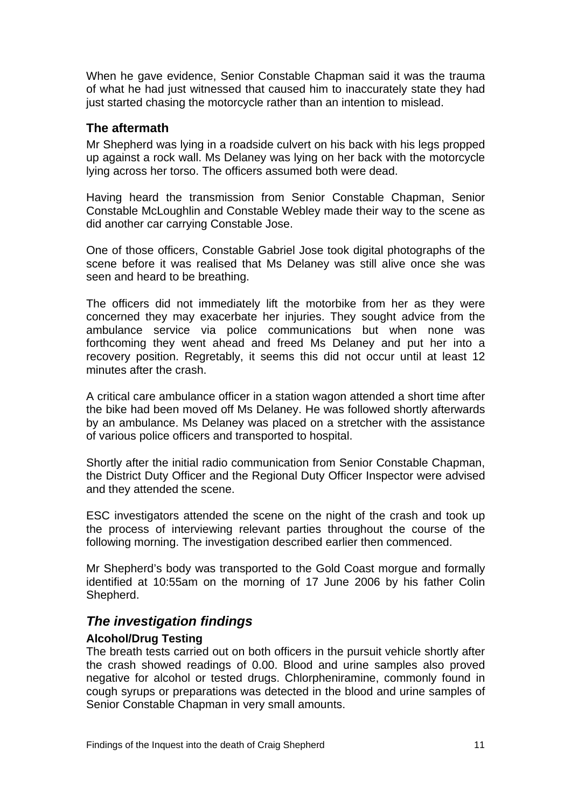<span id="page-12-0"></span>When he gave evidence, Senior Constable Chapman said it was the trauma of what he had just witnessed that caused him to inaccurately state they had just started chasing the motorcycle rather than an intention to mislead.

### **The aftermath**

Mr Shepherd was lying in a roadside culvert on his back with his legs propped up against a rock wall. Ms Delaney was lying on her back with the motorcycle lying across her torso. The officers assumed both were dead.

Having heard the transmission from Senior Constable Chapman, Senior Constable McLoughlin and Constable Webley made their way to the scene as did another car carrying Constable Jose.

One of those officers, Constable Gabriel Jose took digital photographs of the scene before it was realised that Ms Delaney was still alive once she was seen and heard to be breathing.

The officers did not immediately lift the motorbike from her as they were concerned they may exacerbate her injuries. They sought advice from the ambulance service via police communications but when none was forthcoming they went ahead and freed Ms Delaney and put her into a recovery position. Regretably, it seems this did not occur until at least 12 minutes after the crash.

A critical care ambulance officer in a station wagon attended a short time after the bike had been moved off Ms Delaney. He was followed shortly afterwards by an ambulance. Ms Delaney was placed on a stretcher with the assistance of various police officers and transported to hospital.

Shortly after the initial radio communication from Senior Constable Chapman, the District Duty Officer and the Regional Duty Officer Inspector were advised and they attended the scene.

ESC investigators attended the scene on the night of the crash and took up the process of interviewing relevant parties throughout the course of the following morning. The investigation described earlier then commenced.

Mr Shepherd's body was transported to the Gold Coast morgue and formally identified at 10:55am on the morning of 17 June 2006 by his father Colin Shepherd.

# *The investigation findings*

### **Alcohol/Drug Testing**

The breath tests carried out on both officers in the pursuit vehicle shortly after the crash showed readings of 0.00. Blood and urine samples also proved negative for alcohol or tested drugs. Chlorpheniramine, commonly found in cough syrups or preparations was detected in the blood and urine samples of Senior Constable Chapman in very small amounts.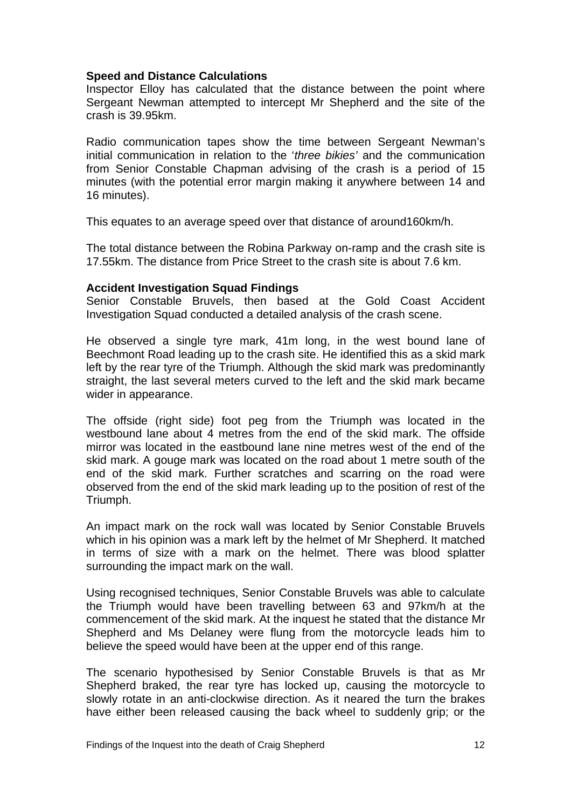#### **Speed and Distance Calculations**

Inspector Elloy has calculated that the distance between the point where Sergeant Newman attempted to intercept Mr Shepherd and the site of the crash is 39.95km.

Radio communication tapes show the time between Sergeant Newman's initial communication in relation to the '*three bikies'* and the communication from Senior Constable Chapman advising of the crash is a period of 15 minutes (with the potential error margin making it anywhere between 14 and 16 minutes).

This equates to an average speed over that distance of around160km/h.

The total distance between the Robina Parkway on-ramp and the crash site is 17.55km. The distance from Price Street to the crash site is about 7.6 km.

#### **Accident Investigation Squad Findings**

Senior Constable Bruvels, then based at the Gold Coast Accident Investigation Squad conducted a detailed analysis of the crash scene.

He observed a single tyre mark, 41m long, in the west bound lane of Beechmont Road leading up to the crash site. He identified this as a skid mark left by the rear tyre of the Triumph. Although the skid mark was predominantly straight, the last several meters curved to the left and the skid mark became wider in appearance.

The offside (right side) foot peg from the Triumph was located in the westbound lane about 4 metres from the end of the skid mark. The offside mirror was located in the eastbound lane nine metres west of the end of the skid mark. A gouge mark was located on the road about 1 metre south of the end of the skid mark. Further scratches and scarring on the road were observed from the end of the skid mark leading up to the position of rest of the Triumph.

An impact mark on the rock wall was located by Senior Constable Bruvels which in his opinion was a mark left by the helmet of Mr Shepherd. It matched in terms of size with a mark on the helmet. There was blood splatter surrounding the impact mark on the wall.

Using recognised techniques, Senior Constable Bruvels was able to calculate the Triumph would have been travelling between 63 and 97km/h at the commencement of the skid mark. At the inquest he stated that the distance Mr Shepherd and Ms Delaney were flung from the motorcycle leads him to believe the speed would have been at the upper end of this range.

The scenario hypothesised by Senior Constable Bruvels is that as Mr Shepherd braked, the rear tyre has locked up, causing the motorcycle to slowly rotate in an anti-clockwise direction. As it neared the turn the brakes have either been released causing the back wheel to suddenly grip; or the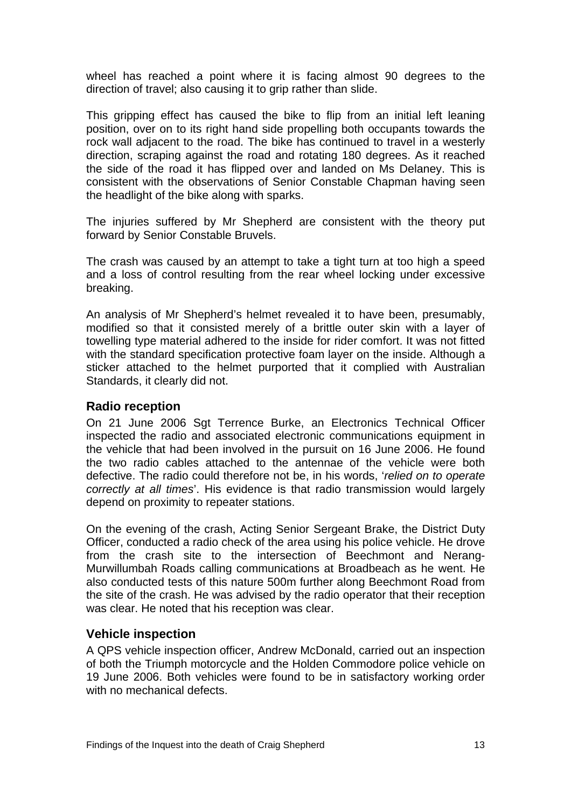<span id="page-14-0"></span>wheel has reached a point where it is facing almost 90 degrees to the direction of travel; also causing it to grip rather than slide.

This gripping effect has caused the bike to flip from an initial left leaning position, over on to its right hand side propelling both occupants towards the rock wall adjacent to the road. The bike has continued to travel in a westerly direction, scraping against the road and rotating 180 degrees. As it reached the side of the road it has flipped over and landed on Ms Delaney. This is consistent with the observations of Senior Constable Chapman having seen the headlight of the bike along with sparks.

The injuries suffered by Mr Shepherd are consistent with the theory put forward by Senior Constable Bruvels.

The crash was caused by an attempt to take a tight turn at too high a speed and a loss of control resulting from the rear wheel locking under excessive breaking.

An analysis of Mr Shepherd's helmet revealed it to have been, presumably, modified so that it consisted merely of a brittle outer skin with a layer of towelling type material adhered to the inside for rider comfort. It was not fitted with the standard specification protective foam layer on the inside. Although a sticker attached to the helmet purported that it complied with Australian Standards, it clearly did not.

### **Radio reception**

On 21 June 2006 Sgt Terrence Burke, an Electronics Technical Officer inspected the radio and associated electronic communications equipment in the vehicle that had been involved in the pursuit on 16 June 2006. He found the two radio cables attached to the antennae of the vehicle were both defective. The radio could therefore not be, in his words, '*relied on to operate correctly at all times*'. His evidence is that radio transmission would largely depend on proximity to repeater stations.

On the evening of the crash, Acting Senior Sergeant Brake, the District Duty Officer, conducted a radio check of the area using his police vehicle. He drove from the crash site to the intersection of Beechmont and Nerang-Murwillumbah Roads calling communications at Broadbeach as he went. He also conducted tests of this nature 500m further along Beechmont Road from the site of the crash. He was advised by the radio operator that their reception was clear. He noted that his reception was clear.

### **Vehicle inspection**

A QPS vehicle inspection officer, Andrew McDonald, carried out an inspection of both the Triumph motorcycle and the Holden Commodore police vehicle on 19 June 2006. Both vehicles were found to be in satisfactory working order with no mechanical defects.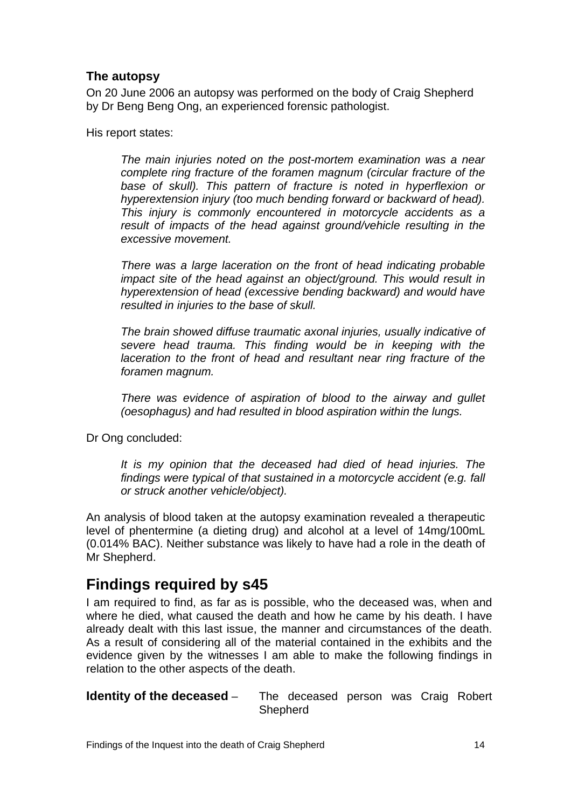# <span id="page-15-0"></span>**The autopsy**

On 20 June 2006 an autopsy was performed on the body of Craig Shepherd by Dr Beng Beng Ong, an experienced forensic pathologist.

His report states:

*The main injuries noted on the post-mortem examination was a near complete ring fracture of the foramen magnum (circular fracture of the base of skull). This pattern of fracture is noted in hyperflexion or hyperextension injury (too much bending forward or backward of head). This injury is commonly encountered in motorcycle accidents as a result of impacts of the head against ground/vehicle resulting in the excessive movement.* 

*There was a large laceration on the front of head indicating probable impact site of the head against an object/ground. This would result in hyperextension of head (excessive bending backward) and would have resulted in injuries to the base of skull.* 

*The brain showed diffuse traumatic axonal injuries, usually indicative of severe head trauma. This finding would be in keeping with the laceration to the front of head and resultant near ring fracture of the foramen magnum.* 

*There was evidence of aspiration of blood to the airway and gullet (oesophagus) and had resulted in blood aspiration within the lungs.* 

Dr Ong concluded:

*It is my opinion that the deceased had died of head injuries. The findings were typical of that sustained in a motorcycle accident (e.g. fall or struck another vehicle/object).* 

An analysis of blood taken at the autopsy examination revealed a therapeutic level of phentermine (a dieting drug) and alcohol at a level of 14mg/100mL (0.014% BAC). Neither substance was likely to have had a role in the death of Mr Shepherd.

# **Findings required by s45**

I am required to find, as far as is possible, who the deceased was, when and where he died, what caused the death and how he came by his death. I have already dealt with this last issue, the manner and circumstances of the death. As a result of considering all of the material contained in the exhibits and the evidence given by the witnesses I am able to make the following findings in relation to the other aspects of the death.

**Identity of the deceased** – The deceased person was Craig Robert Shepherd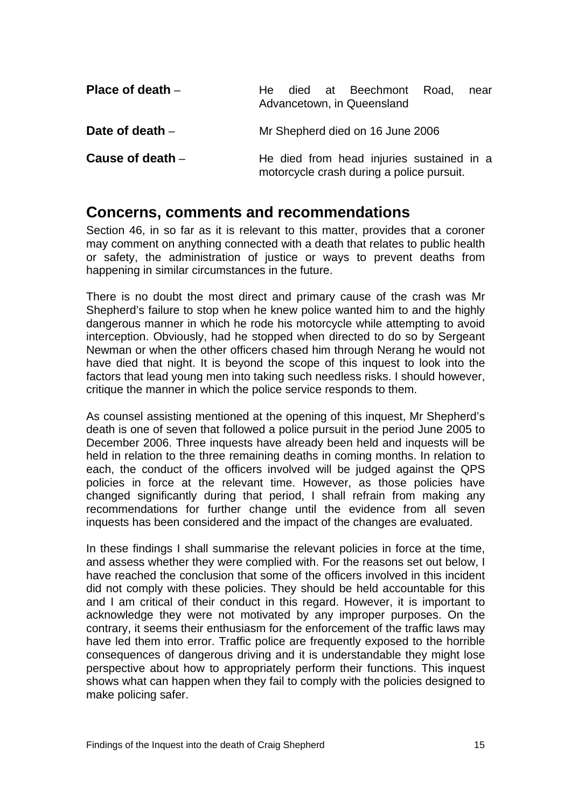<span id="page-16-0"></span>

| Place of death $-$ | died at Beechmont Road,<br>He l<br>near<br>Advancetown, in Queensland                  |
|--------------------|----------------------------------------------------------------------------------------|
| Date of death $-$  | Mr Shepherd died on 16 June 2006                                                       |
| Cause of death $-$ | He died from head injuries sustained in a<br>motorcycle crash during a police pursuit. |

# **Concerns, comments and recommendations**

Section 46, in so far as it is relevant to this matter, provides that a coroner may comment on anything connected with a death that relates to public health or safety, the administration of justice or ways to prevent deaths from happening in similar circumstances in the future.

There is no doubt the most direct and primary cause of the crash was Mr Shepherd's failure to stop when he knew police wanted him to and the highly dangerous manner in which he rode his motorcycle while attempting to avoid interception. Obviously, had he stopped when directed to do so by Sergeant Newman or when the other officers chased him through Nerang he would not have died that night. It is beyond the scope of this inquest to look into the factors that lead young men into taking such needless risks. I should however, critique the manner in which the police service responds to them.

As counsel assisting mentioned at the opening of this inquest, Mr Shepherd's death is one of seven that followed a police pursuit in the period June 2005 to December 2006. Three inquests have already been held and inquests will be held in relation to the three remaining deaths in coming months. In relation to each, the conduct of the officers involved will be judged against the QPS policies in force at the relevant time. However, as those policies have changed significantly during that period, I shall refrain from making any recommendations for further change until the evidence from all seven inquests has been considered and the impact of the changes are evaluated.

In these findings I shall summarise the relevant policies in force at the time, and assess whether they were complied with. For the reasons set out below, I have reached the conclusion that some of the officers involved in this incident did not comply with these policies. They should be held accountable for this and I am critical of their conduct in this regard. However, it is important to acknowledge they were not motivated by any improper purposes. On the contrary, it seems their enthusiasm for the enforcement of the traffic laws may have led them into error. Traffic police are frequently exposed to the horrible consequences of dangerous driving and it is understandable they might lose perspective about how to appropriately perform their functions. This inquest shows what can happen when they fail to comply with the policies designed to make policing safer.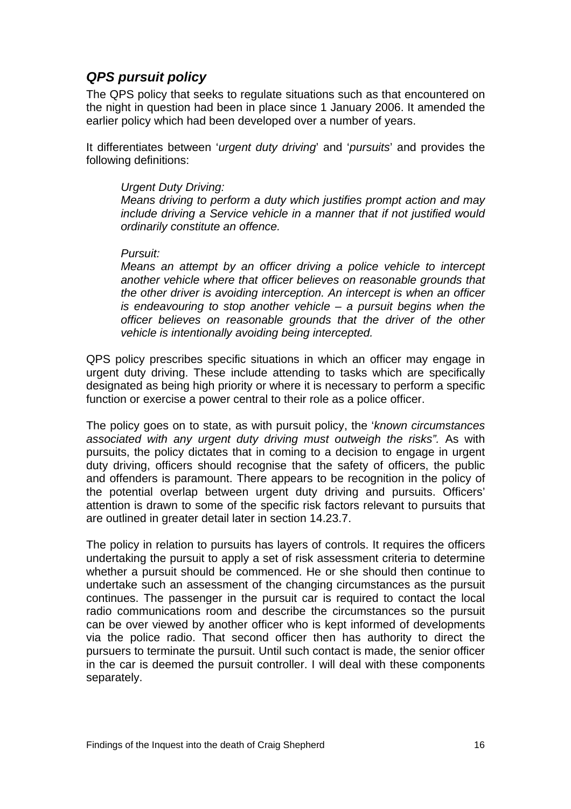# <span id="page-17-0"></span>*QPS pursuit policy*

The QPS policy that seeks to regulate situations such as that encountered on the night in question had been in place since 1 January 2006. It amended the earlier policy which had been developed over a number of years.

It differentiates between '*urgent duty driving*' and '*pursuits*' and provides the following definitions:

#### *Urgent Duty Driving:*

*Means driving to perform a duty which justifies prompt action and may include driving a Service vehicle in a manner that if not justified would ordinarily constitute an offence.* 

#### *Pursuit:*

*Means an attempt by an officer driving a police vehicle to intercept another vehicle where that officer believes on reasonable grounds that the other driver is avoiding interception. An intercept is when an officer is endeavouring to stop another vehicle – a pursuit begins when the officer believes on reasonable grounds that the driver of the other vehicle is intentionally avoiding being intercepted.* 

QPS policy prescribes specific situations in which an officer may engage in urgent duty driving. These include attending to tasks which are specifically designated as being high priority or where it is necessary to perform a specific function or exercise a power central to their role as a police officer.

The policy goes on to state, as with pursuit policy, the '*known circumstances associated with any urgent duty driving must outweigh the risks".* As with pursuits, the policy dictates that in coming to a decision to engage in urgent duty driving, officers should recognise that the safety of officers, the public and offenders is paramount. There appears to be recognition in the policy of the potential overlap between urgent duty driving and pursuits. Officers' attention is drawn to some of the specific risk factors relevant to pursuits that are outlined in greater detail later in section 14.23.7.

The policy in relation to pursuits has layers of controls. It requires the officers undertaking the pursuit to apply a set of risk assessment criteria to determine whether a pursuit should be commenced. He or she should then continue to undertake such an assessment of the changing circumstances as the pursuit continues. The passenger in the pursuit car is required to contact the local radio communications room and describe the circumstances so the pursuit can be over viewed by another officer who is kept informed of developments via the police radio. That second officer then has authority to direct the pursuers to terminate the pursuit. Until such contact is made, the senior officer in the car is deemed the pursuit controller. I will deal with these components separately.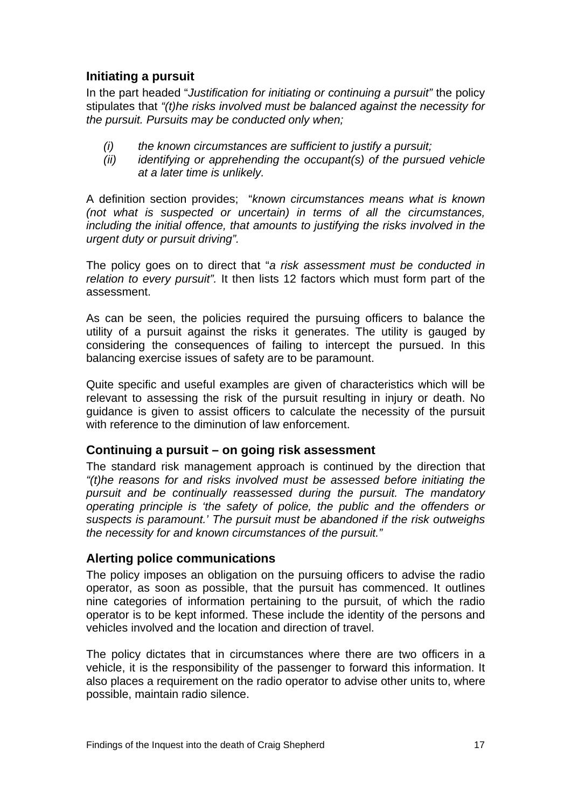# <span id="page-18-0"></span>**Initiating a pursuit**

In the part headed "*Justification for initiating or continuing a pursuit"* the policy stipulates that *"(t)he risks involved must be balanced against the necessity for the pursuit. Pursuits may be conducted only when;* 

- *(i) the known circumstances are sufficient to justify a pursuit;*
- *(ii) identifying or apprehending the occupant(s) of the pursued vehicle at a later time is unlikely.*

A definition section provides; "*known circumstances means what is known (not what is suspected or uncertain) in terms of all the circumstances, including the initial offence, that amounts to justifying the risks involved in the urgent duty or pursuit driving".* 

The policy goes on to direct that "*a risk assessment must be conducted in relation to every pursuit".* It then lists 12 factors which must form part of the assessment.

As can be seen, the policies required the pursuing officers to balance the utility of a pursuit against the risks it generates. The utility is gauged by considering the consequences of failing to intercept the pursued. In this balancing exercise issues of safety are to be paramount.

Quite specific and useful examples are given of characteristics which will be relevant to assessing the risk of the pursuit resulting in injury or death. No guidance is given to assist officers to calculate the necessity of the pursuit with reference to the diminution of law enforcement.

### **Continuing a pursuit – on going risk assessment**

The standard risk management approach is continued by the direction that *"(t)he reasons for and risks involved must be assessed before initiating the pursuit and be continually reassessed during the pursuit. The mandatory operating principle is 'the safety of police, the public and the offenders or suspects is paramount.' The pursuit must be abandoned if the risk outweighs the necessity for and known circumstances of the pursuit."* 

### **Alerting police communications**

The policy imposes an obligation on the pursuing officers to advise the radio operator, as soon as possible, that the pursuit has commenced. It outlines nine categories of information pertaining to the pursuit, of which the radio operator is to be kept informed. These include the identity of the persons and vehicles involved and the location and direction of travel.

The policy dictates that in circumstances where there are two officers in a vehicle, it is the responsibility of the passenger to forward this information. It also places a requirement on the radio operator to advise other units to, where possible, maintain radio silence.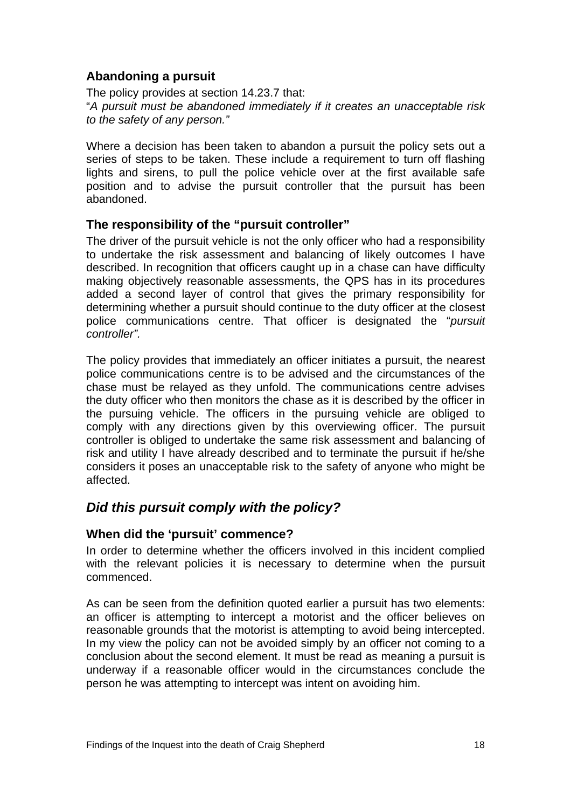# <span id="page-19-0"></span>**Abandoning a pursuit**

The policy provides at section 14.23.7 that:

"*A pursuit must be abandoned immediately if it creates an unacceptable risk to the safety of any person."* 

Where a decision has been taken to abandon a pursuit the policy sets out a series of steps to be taken. These include a requirement to turn off flashing lights and sirens, to pull the police vehicle over at the first available safe position and to advise the pursuit controller that the pursuit has been abandoned.

### **The responsibility of the "pursuit controller"**

The driver of the pursuit vehicle is not the only officer who had a responsibility to undertake the risk assessment and balancing of likely outcomes I have described. In recognition that officers caught up in a chase can have difficulty making objectively reasonable assessments, the QPS has in its procedures added a second layer of control that gives the primary responsibility for determining whether a pursuit should continue to the duty officer at the closest police communications centre. That officer is designated the "*pursuit controller".* 

The policy provides that immediately an officer initiates a pursuit, the nearest police communications centre is to be advised and the circumstances of the chase must be relayed as they unfold. The communications centre advises the duty officer who then monitors the chase as it is described by the officer in the pursuing vehicle. The officers in the pursuing vehicle are obliged to comply with any directions given by this overviewing officer. The pursuit controller is obliged to undertake the same risk assessment and balancing of risk and utility I have already described and to terminate the pursuit if he/she considers it poses an unacceptable risk to the safety of anyone who might be affected.

# *Did this pursuit comply with the policy?*

### **When did the 'pursuit' commence?**

In order to determine whether the officers involved in this incident complied with the relevant policies it is necessary to determine when the pursuit commenced.

As can be seen from the definition quoted earlier a pursuit has two elements: an officer is attempting to intercept a motorist and the officer believes on reasonable grounds that the motorist is attempting to avoid being intercepted. In my view the policy can not be avoided simply by an officer not coming to a conclusion about the second element. It must be read as meaning a pursuit is underway if a reasonable officer would in the circumstances conclude the person he was attempting to intercept was intent on avoiding him.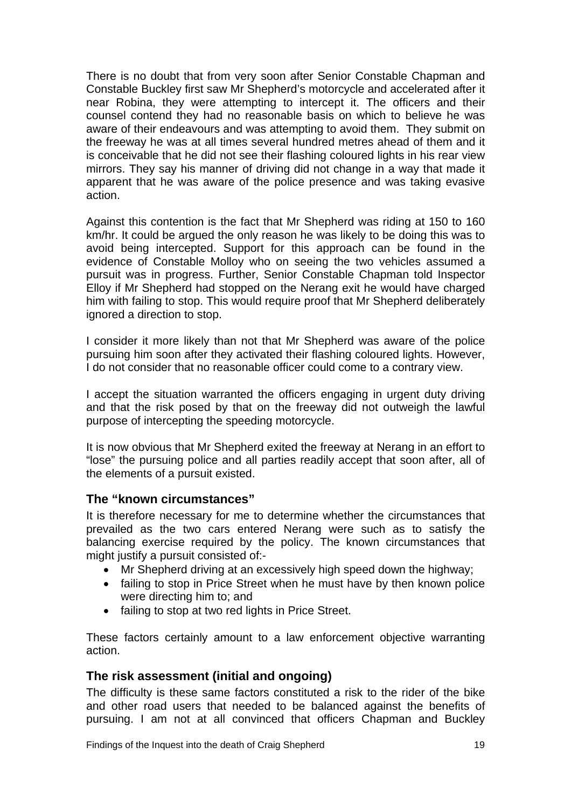<span id="page-20-0"></span>There is no doubt that from very soon after Senior Constable Chapman and Constable Buckley first saw Mr Shepherd's motorcycle and accelerated after it near Robina, they were attempting to intercept it. The officers and their counsel contend they had no reasonable basis on which to believe he was aware of their endeavours and was attempting to avoid them. They submit on the freeway he was at all times several hundred metres ahead of them and it is conceivable that he did not see their flashing coloured lights in his rear view mirrors. They say his manner of driving did not change in a way that made it apparent that he was aware of the police presence and was taking evasive action.

Against this contention is the fact that Mr Shepherd was riding at 150 to 160 km/hr. It could be argued the only reason he was likely to be doing this was to avoid being intercepted. Support for this approach can be found in the evidence of Constable Molloy who on seeing the two vehicles assumed a pursuit was in progress. Further, Senior Constable Chapman told Inspector Elloy if Mr Shepherd had stopped on the Nerang exit he would have charged him with failing to stop. This would require proof that Mr Shepherd deliberately ignored a direction to stop.

I consider it more likely than not that Mr Shepherd was aware of the police pursuing him soon after they activated their flashing coloured lights. However, I do not consider that no reasonable officer could come to a contrary view.

I accept the situation warranted the officers engaging in urgent duty driving and that the risk posed by that on the freeway did not outweigh the lawful purpose of intercepting the speeding motorcycle.

It is now obvious that Mr Shepherd exited the freeway at Nerang in an effort to "lose" the pursuing police and all parties readily accept that soon after, all of the elements of a pursuit existed.

### **The "known circumstances"**

It is therefore necessary for me to determine whether the circumstances that prevailed as the two cars entered Nerang were such as to satisfy the balancing exercise required by the policy. The known circumstances that might justify a pursuit consisted of:-

- Mr Shepherd driving at an excessively high speed down the highway;
- failing to stop in Price Street when he must have by then known police were directing him to; and
- failing to stop at two red lights in Price Street.

These factors certainly amount to a law enforcement objective warranting action.

### **The risk assessment (initial and ongoing)**

The difficulty is these same factors constituted a risk to the rider of the bike and other road users that needed to be balanced against the benefits of pursuing. I am not at all convinced that officers Chapman and Buckley

Findings of the Inquest into the death of Craig Shepherd 19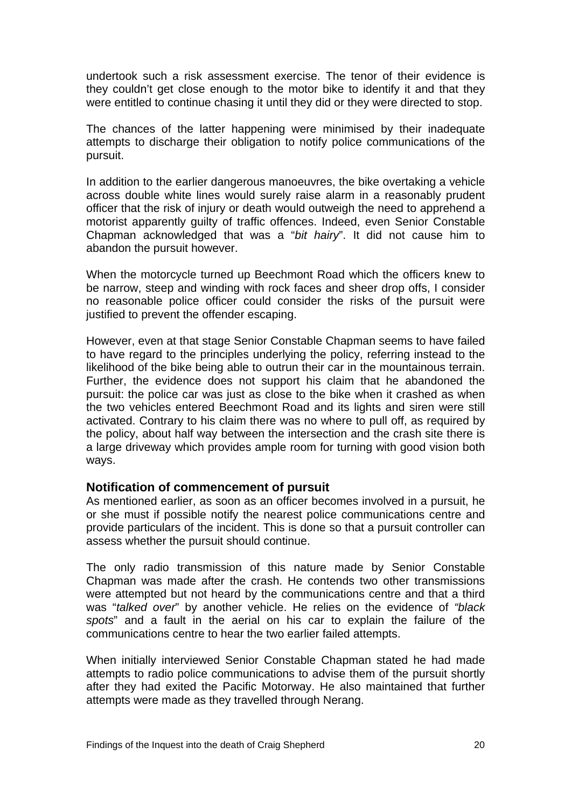undertook such a risk assessment exercise. The tenor of their evidence is they couldn't get close enough to the motor bike to identify it and that they were entitled to continue chasing it until they did or they were directed to stop.

The chances of the latter happening were minimised by their inadequate attempts to discharge their obligation to notify police communications of the pursuit.

In addition to the earlier dangerous manoeuvres, the bike overtaking a vehicle across double white lines would surely raise alarm in a reasonably prudent officer that the risk of injury or death would outweigh the need to apprehend a motorist apparently guilty of traffic offences. Indeed, even Senior Constable Chapman acknowledged that was a "*bit hairy*". It did not cause him to abandon the pursuit however.

When the motorcycle turned up Beechmont Road which the officers knew to be narrow, steep and winding with rock faces and sheer drop offs, I consider no reasonable police officer could consider the risks of the pursuit were justified to prevent the offender escaping.

However, even at that stage Senior Constable Chapman seems to have failed to have regard to the principles underlying the policy, referring instead to the likelihood of the bike being able to outrun their car in the mountainous terrain. Further, the evidence does not support his claim that he abandoned the pursuit: the police car was just as close to the bike when it crashed as when the two vehicles entered Beechmont Road and its lights and siren were still activated. Contrary to his claim there was no where to pull off, as required by the policy, about half way between the intersection and the crash site there is a large driveway which provides ample room for turning with good vision both ways.

#### **Notification of commencement of pursuit**

As mentioned earlier, as soon as an officer becomes involved in a pursuit, he or she must if possible notify the nearest police communications centre and provide particulars of the incident. This is done so that a pursuit controller can assess whether the pursuit should continue.

The only radio transmission of this nature made by Senior Constable Chapman was made after the crash. He contends two other transmissions were attempted but not heard by the communications centre and that a third was "*talked over*" by another vehicle. He relies on the evidence of *"black spots*" and a fault in the aerial on his car to explain the failure of the communications centre to hear the two earlier failed attempts.

When initially interviewed Senior Constable Chapman stated he had made attempts to radio police communications to advise them of the pursuit shortly after they had exited the Pacific Motorway. He also maintained that further attempts were made as they travelled through Nerang.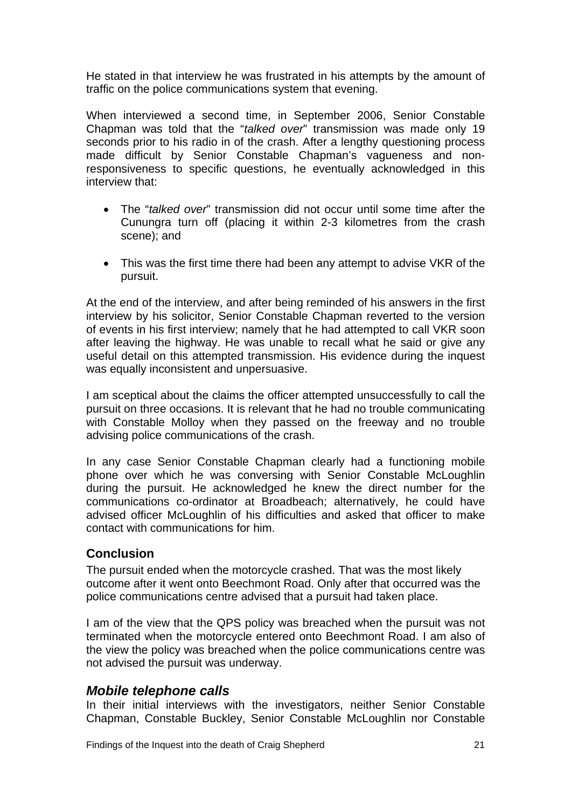<span id="page-22-0"></span>He stated in that interview he was frustrated in his attempts by the amount of traffic on the police communications system that evening.

When interviewed a second time, in September 2006, Senior Constable Chapman was told that the "*talked over*" transmission was made only 19 seconds prior to his radio in of the crash. After a lengthy questioning process made difficult by Senior Constable Chapman's vagueness and nonresponsiveness to specific questions, he eventually acknowledged in this interview that:

- The "*talked over*" transmission did not occur until some time after the Cunungra turn off (placing it within 2-3 kilometres from the crash scene); and
- This was the first time there had been any attempt to advise VKR of the pursuit.

At the end of the interview, and after being reminded of his answers in the first interview by his solicitor, Senior Constable Chapman reverted to the version of events in his first interview; namely that he had attempted to call VKR soon after leaving the highway. He was unable to recall what he said or give any useful detail on this attempted transmission. His evidence during the inquest was equally inconsistent and unpersuasive.

I am sceptical about the claims the officer attempted unsuccessfully to call the pursuit on three occasions. It is relevant that he had no trouble communicating with Constable Molloy when they passed on the freeway and no trouble advising police communications of the crash.

In any case Senior Constable Chapman clearly had a functioning mobile phone over which he was conversing with Senior Constable McLoughlin during the pursuit. He acknowledged he knew the direct number for the communications co-ordinator at Broadbeach; alternatively, he could have advised officer McLoughlin of his difficulties and asked that officer to make contact with communications for him.

### **Conclusion**

The pursuit ended when the motorcycle crashed. That was the most likely outcome after it went onto Beechmont Road. Only after that occurred was the police communications centre advised that a pursuit had taken place.

I am of the view that the QPS policy was breached when the pursuit was not terminated when the motorcycle entered onto Beechmont Road. I am also of the view the policy was breached when the police communications centre was not advised the pursuit was underway.

### *Mobile telephone calls*

In their initial interviews with the investigators, neither Senior Constable Chapman, Constable Buckley, Senior Constable McLoughlin nor Constable

Findings of the Inquest into the death of Craig Shepherd 21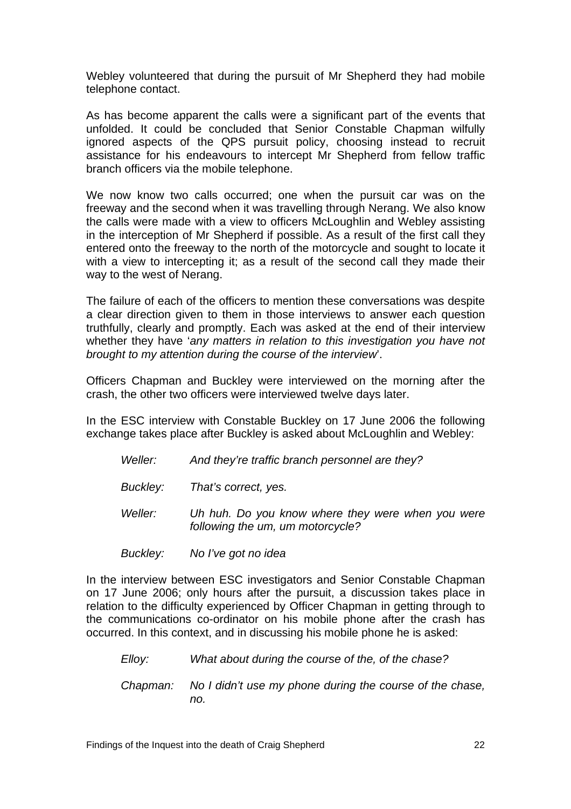Webley volunteered that during the pursuit of Mr Shepherd they had mobile telephone contact.

As has become apparent the calls were a significant part of the events that unfolded. It could be concluded that Senior Constable Chapman wilfully ignored aspects of the QPS pursuit policy, choosing instead to recruit assistance for his endeavours to intercept Mr Shepherd from fellow traffic branch officers via the mobile telephone.

We now know two calls occurred; one when the pursuit car was on the freeway and the second when it was travelling through Nerang. We also know the calls were made with a view to officers McLoughlin and Webley assisting in the interception of Mr Shepherd if possible. As a result of the first call they entered onto the freeway to the north of the motorcycle and sought to locate it with a view to intercepting it; as a result of the second call they made their way to the west of Nerang.

The failure of each of the officers to mention these conversations was despite a clear direction given to them in those interviews to answer each question truthfully, clearly and promptly. Each was asked at the end of their interview whether they have '*any matters in relation to this investigation you have not brought to my attention during the course of the interview*'.

Officers Chapman and Buckley were interviewed on the morning after the crash, the other two officers were interviewed twelve days later.

In the ESC interview with Constable Buckley on 17 June 2006 the following exchange takes place after Buckley is asked about McLoughlin and Webley:

- *Weller: And they're traffic branch personnel are they?*
- *Buckley: That's correct, yes.*
- *Weller: Uh huh. Do you know where they were when you were following the um, um motorcycle?*
- *Buckley: No I've got no idea*

In the interview between ESC investigators and Senior Constable Chapman on 17 June 2006; only hours after the pursuit, a discussion takes place in relation to the difficulty experienced by Officer Chapman in getting through to the communications co-ordinator on his mobile phone after the crash has occurred. In this context, and in discussing his mobile phone he is asked:

*Elloy: What about during the course of the, of the chase? Chapman: No I didn't use my phone during the course of the chase, no.*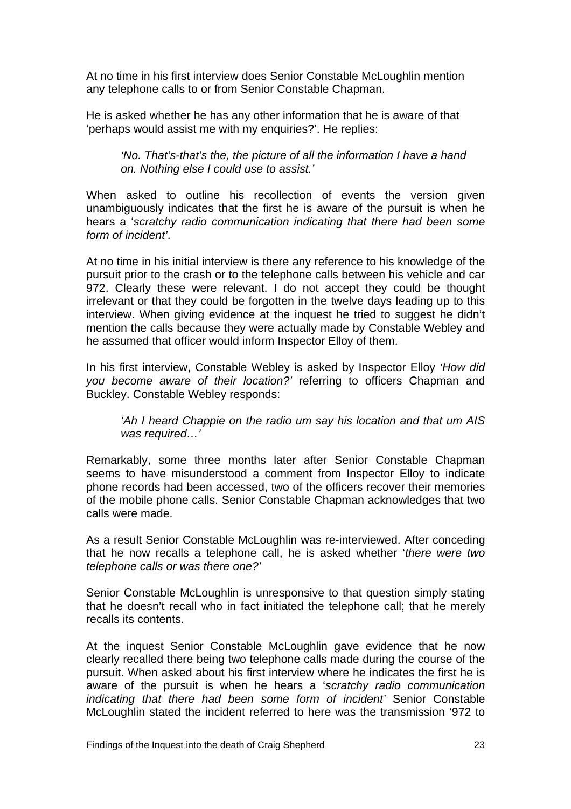At no time in his first interview does Senior Constable McLoughlin mention any telephone calls to or from Senior Constable Chapman.

He is asked whether he has any other information that he is aware of that 'perhaps would assist me with my enquiries?'. He replies:

### *'No. That's-that's the, the picture of all the information I have a hand on. Nothing else I could use to assist.'*

When asked to outline his recollection of events the version given unambiguously indicates that the first he is aware of the pursuit is when he hears a '*scratchy radio communication indicating that there had been some form of incident'*.

At no time in his initial interview is there any reference to his knowledge of the pursuit prior to the crash or to the telephone calls between his vehicle and car 972. Clearly these were relevant. I do not accept they could be thought irrelevant or that they could be forgotten in the twelve days leading up to this interview. When giving evidence at the inquest he tried to suggest he didn't mention the calls because they were actually made by Constable Webley and he assumed that officer would inform Inspector Elloy of them.

In his first interview, Constable Webley is asked by Inspector Elloy *'How did you become aware of their location?'* referring to officers Chapman and Buckley. Constable Webley responds:

### *'Ah I heard Chappie on the radio um say his location and that um AIS was required…'*

Remarkably, some three months later after Senior Constable Chapman seems to have misunderstood a comment from Inspector Elloy to indicate phone records had been accessed, two of the officers recover their memories of the mobile phone calls. Senior Constable Chapman acknowledges that two calls were made.

As a result Senior Constable McLoughlin was re-interviewed. After conceding that he now recalls a telephone call, he is asked whether '*there were two telephone calls or was there one?'* 

Senior Constable McLoughlin is unresponsive to that question simply stating that he doesn't recall who in fact initiated the telephone call; that he merely recalls its contents.

At the inquest Senior Constable McLoughlin gave evidence that he now clearly recalled there being two telephone calls made during the course of the pursuit. When asked about his first interview where he indicates the first he is aware of the pursuit is when he hears a '*scratchy radio communication indicating that there had been some form of incident'* Senior Constable McLoughlin stated the incident referred to here was the transmission '972 to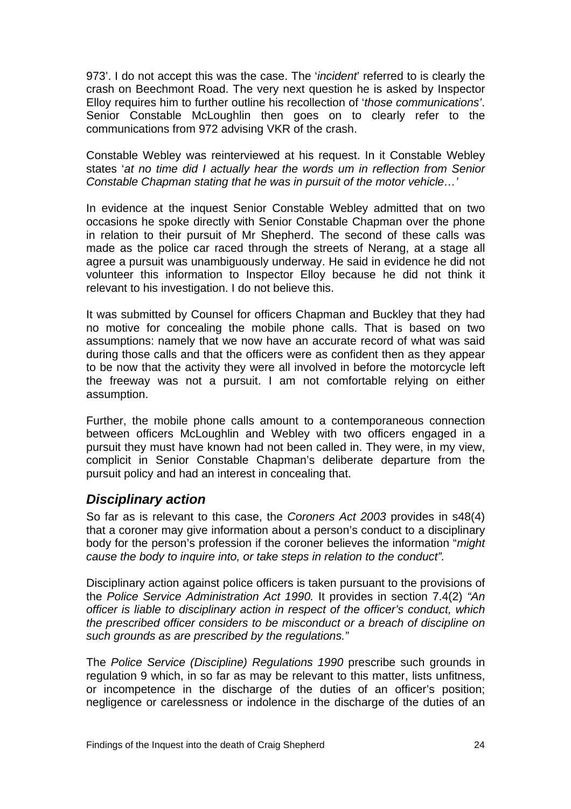<span id="page-25-0"></span>973'. I do not accept this was the case. The '*incident*' referred to is clearly the crash on Beechmont Road. The very next question he is asked by Inspector Elloy requires him to further outline his recollection of '*those communications'*. Senior Constable McLoughlin then goes on to clearly refer to the communications from 972 advising VKR of the crash.

Constable Webley was reinterviewed at his request. In it Constable Webley states '*at no time did I actually hear the words um in reflection from Senior Constable Chapman stating that he was in pursuit of the motor vehicle…'*

In evidence at the inquest Senior Constable Webley admitted that on two occasions he spoke directly with Senior Constable Chapman over the phone in relation to their pursuit of Mr Shepherd. The second of these calls was made as the police car raced through the streets of Nerang, at a stage all agree a pursuit was unambiguously underway. He said in evidence he did not volunteer this information to Inspector Elloy because he did not think it relevant to his investigation. I do not believe this.

It was submitted by Counsel for officers Chapman and Buckley that they had no motive for concealing the mobile phone calls. That is based on two assumptions: namely that we now have an accurate record of what was said during those calls and that the officers were as confident then as they appear to be now that the activity they were all involved in before the motorcycle left the freeway was not a pursuit. I am not comfortable relying on either assumption.

Further, the mobile phone calls amount to a contemporaneous connection between officers McLoughlin and Webley with two officers engaged in a pursuit they must have known had not been called in. They were, in my view, complicit in Senior Constable Chapman's deliberate departure from the pursuit policy and had an interest in concealing that.

# *Disciplinary action*

So far as is relevant to this case, the *Coroners Act 2003* provides in s48(4) that a coroner may give information about a person's conduct to a disciplinary body for the person's profession if the coroner believes the information "*might cause the body to inquire into, or take steps in relation to the conduct".* 

Disciplinary action against police officers is taken pursuant to the provisions of the *Police Service Administration Act 1990.* It provides in section 7.4(2) *"An officer is liable to disciplinary action in respect of the officer's conduct, which the prescribed officer considers to be misconduct or a breach of discipline on such grounds as are prescribed by the regulations."* 

The *Police Service (Discipline) Regulations 1990* prescribe such grounds in regulation 9 which, in so far as may be relevant to this matter, lists unfitness, or incompetence in the discharge of the duties of an officer's position; negligence or carelessness or indolence in the discharge of the duties of an